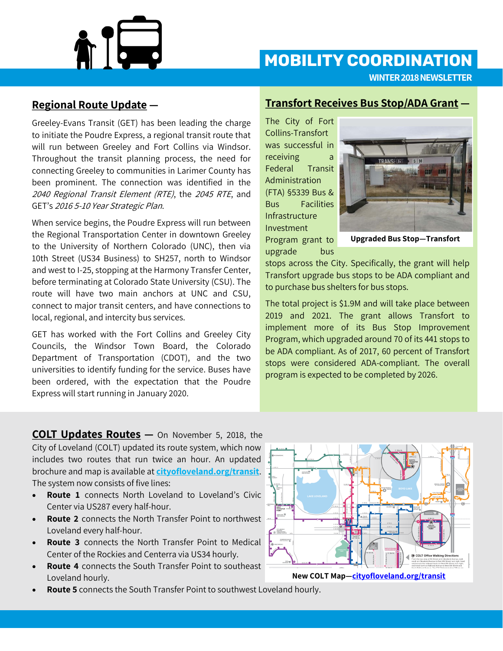

## **MOBILITY COORDINATION**

**WINTER 2018 NEWSLETTER**

### **Regional Route Update —**

Greeley-Evans Transit (GET) has been leading the charge to initiate the Poudre Express, a regional transit route that will run between Greeley and Fort Collins via Windsor. Throughout the transit planning process, the need for connecting Greeley to communities in Larimer County has been prominent. The connection was identified in the 2040 Regional Transit Element (RTE), the 2045 RTE, and GET's 2016 5-10 Year Strategic Plan.

When service begins, the Poudre Express will run between the Regional Transportation Center in downtown Greeley to the University of Northern Colorado (UNC), then via 10th Street (US34 Business) to SH257, north to Windsor and west to I-25, stopping at the Harmony Transfer Center, before terminating at Colorado State University (CSU). The route will have two main anchors at UNC and CSU, connect to major transit centers, and have connections to local, regional, and intercity bus services.

GET has worked with the Fort Collins and Greeley City Councils, the Windsor Town Board, the Colorado Department of Transportation (CDOT), and the two universities to identify funding for the service. Buses have been ordered, with the expectation that the Poudre Express will start running in January 2020.

### **Transfort Receives Bus Stop/ADA Grant —**

The City of Fort Collins-Transfort was successful in receiving a Federal Transit Administration (FTA) §5339 Bus & Bus Facilities Infrastructure Investment Program grant to

upgrade bus



**Upgraded Bus Stop—Transfort**

stops across the City. Specifically, the grant will help Transfort upgrade bus stops to be ADA compliant and to purchase bus shelters for bus stops.

The total project is \$1.9M and will take place between 2019 and 2021. The grant allows Transfort to implement more of its Bus Stop Improvement Program, which upgraded around 70 of its 441 stops to be ADA compliant. As of 2017, 60 percent of Transfort stops were considered ADA-compliant. The overall program is expected to be completed by 2026.

**COLT Updates Routes —** On November 5, 2018, the City of Loveland (COLT) updated its route system, which now includes two routes that run twice an hour. An updated brochure and map is available at **[cityofloveland.org/transit](http://cityofloveland.org/transit)**. The system now consists of five lines:

- **Route 1** connects North Loveland to Loveland's Civic Center via US287 every half-hour.
- **Route 2** connects the North Transfer Point to northwest Loveland every half-hour.
- **Route 3** connects the North Transfer Point to Medical Center of the Rockies and Centerra via US34 hourly.
- **Route 4** connects the South Transfer Point to southeast Loveland hourly.
- **Route 5** connects the South Transfer Point to southwest Loveland hourly.



**New COLT Map—[cityofloveland.org/transit](http://cityofloveland.org/transit)**